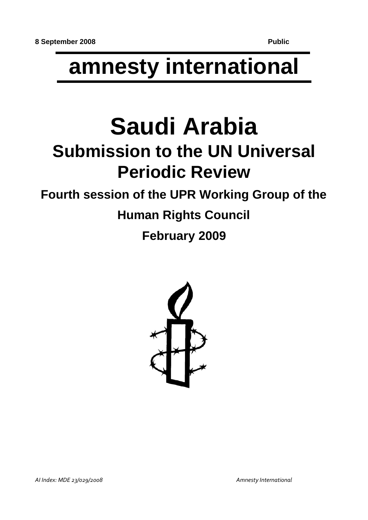# **amnesty international**

# **Saudi Arabia Submission to the UN Universal Periodic Review**

# **Fourth session of the UPR Working Group of the**

# **Human Rights Council**

# **February 2009**

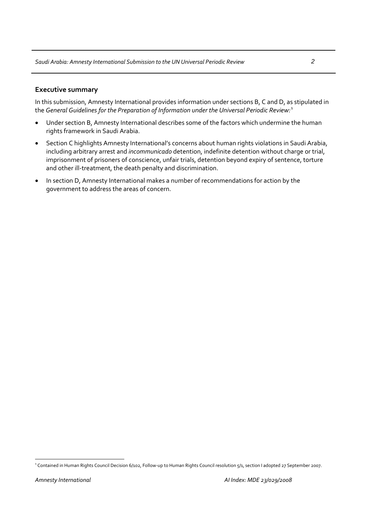# **Executive summary**

In this submission, Amnesty International provides information under sections B, C and D, as stipulated in the *General Guidelines for the Preparation of Information under the Universal Periodic Review:*[1](#page-1-0)

- Under section B, Amnesty International describes some of the factors which undermine the human rights framework in Saudi Arabia.
- Section C highlights Amnesty International's concerns about human rights violations in Saudi Arabia, including arbitrary arrest and *incommunicado* detention, indefinite detention without charge or trial, imprisonment of prisoners of conscience, unfair trials, detention beyond expiry of sentence, torture and other ill-treatment, the death penalty and discrimination.
- In section D, Amnesty International makes a number of recommendations for action by the government to address the areas of concern.

<span id="page-1-0"></span><sup>&</sup>lt;sup>1</sup> Contained in Human Rights Council Decision 6/102, Follow-up to Human Rights Council resolution 5/1, section I adopted 27 September 2007.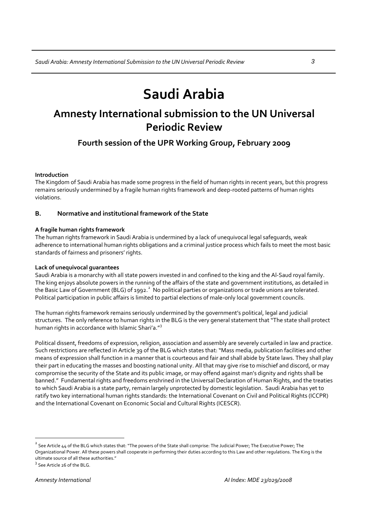# **Saudi Arabia**

# **Amnesty International submission to the UN Universal Periodic Review**

# **Fourth session of the UPR Working Group, February 2009**

# **Introduction**

The Kingdom of Saudi Arabia has made some progress in the field of human rights in recent years, but this progress remains seriously undermined by a fragile human rights framework and deep-rooted patterns of human rights violations.

# **B. Normative and institutional framework of the State**

# **A fragile human rights framework**

The human rights framework in Saudi Arabia is undermined by a lack of unequivocal legal safeguards, weak adherence to international human rights obligations and a criminal justice process which fails to meet the most basic standards of fairness and prisoners' rights.

# **Lack of unequivocal guarantees**

Saudi Arabia is a monarchy with all state powers invested in and confined to the king and the Al‐Saud royal family. The king enjoys absolute powers in the running of the affairs of the state and government institutions, as detailed in the Basic Law of Government (BLG) of 199[2](#page-2-0).<sup>2</sup> No political parties or organizations or trade unions are tolerated. Political participation in public affairs is limited to partial elections of male-only local government councils.

The human rights framework remains seriously undermined by the government's political, legal and judicial structures. The only reference to human rights in the BLG is the very general statement that "The state shall protect human rights in accordance with Islamic Shari'a." $3$ 

Political dissent, freedoms of expression, religion, association and assembly are severely curtailed in law and practice. Such restrictions are reflected in Article 39 of the BLG which states that:"Mass media, publication facilities and other means of expression shall function in a manner that is courteous and fair and shall abide by State laws. They shall play their part in educating the masses and boosting national unity. All that may give rise to mischief and discord, or may compromise the security of the State and its public image, or may offend against man's dignity and rights shall be banned." Fundamental rights and freedoms enshrined in the Universal Declaration of Human Rights, and the treaties to which Saudi Arabia is a state party, remain largely unprotected by domestic legislation. Saudi Arabia has yet to ratify two key international human rights standards: the International Covenant on Civil and Political Rights (ICCPR) and the International Covenant on Economic Social and Cultural Rights (ICESCR).

<span id="page-2-0"></span> $2$  See Article 44 of the BLG which states that: "The powers of the State shall comprise: The Judicial Power; The Executive Power; The Organizational Power. All these powers shall cooperate in performing their duties according to this Law and other regulations. The King is the ultimate source of all these authorities." <sup>3</sup>

<span id="page-2-1"></span> $3$  See Article 26 of the BLG.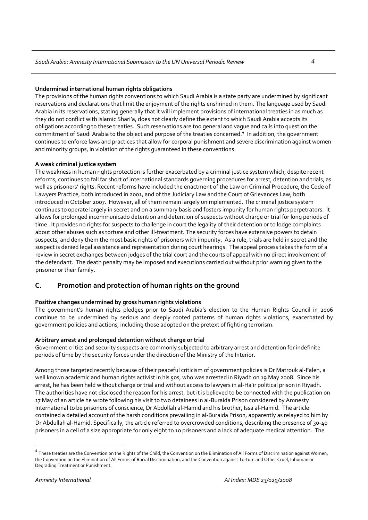# **Undermined international human rights obligations**

The provisions of the human rights conventions to which Saudi Arabia is a state party are undermined by significant reservations and declarations that limit the enjoyment of the rights enshrined in them. The language used by Saudi Arabia in its reservations, stating generally that it will implement provisions of international treaties in as much as they do not conflict with Islamic Shari'a, does not clearly define the extent to which Saudi Arabia accepts its obligations according to these treaties. Such reservations are too general and vague and calls into question the commitment of Saudi Arabia to the object and purpose of the treaties concerned.<sup>[4](#page-3-0)</sup> In addition, the government continues to enforce laws and practices that allow for corporal punishment and severe discrimination against women and minority groups, in violation of the rights guaranteed in these conventions.

# **A weak criminal justice system**

The weakness in human rights protection is further exacerbated by a criminal justice system which, despite recent reforms, continues to fall far short of international standards governing procedures for arrest, detention and trials, as well as prisoners' rights. Recent reforms have included the enactment of the Law on Criminal Procedure, the Code of Lawyers Practice, both introduced in 2001, and of the Judiciary Law and the Court of Grievances Law, both introduced in October 2007. However, all of them remain largely unimplemented. The criminal justice system continues to operate largely in secret and on a summary basis and fosters impunity for human rights perpetrators. It allows for prolonged incommunicado detention and detention of suspects without charge or trial for long periods of time. It provides no rights for suspects to challenge in court the legality of their detention or to lodge complaints about other abuses such as torture and other ill‐treatment. The security forces have extensive powers to detain suspects, and deny them the most basic rights of prisoners with impunity. As a rule, trials are held in secret and the suspect is denied legal assistance and representation during court hearings. The appeal process takes the form of a review in secret exchanges between judges of the trial court and the courts of appeal with no direct involvement of the defendant. The death penalty may be imposed and executions carried out without prior warning given to the prisoner or their family.

# **C. Promotion and protection of human rights on the ground**

# **Positive changes undermined by gross human rights violations**

The government's human rights pledges prior to Saudi Arabia's election to the Human Rights Council in 2006 continue to be undermined by serious and deeply rooted patterns of human rights violations, exacerbated by government policies and actions, including those adopted on the pretext of fighting terrorism.

# **Arbitrary arrest and prolonged detention without charge or trial**

Government critics and security suspects are commonly subjected to arbitrary arrest and detention for indefinite periods of time by the security forces under the direction of the Ministry of the Interior.

Among those targeted recently because of their peaceful criticism of government policies is Dr Matrouk al‐Faleh, a well known academic and human rights activist in his 50s, who was arrested in Riyadh on 19 May 2008. Since his arrest, he has been held without charge or trial and without access to lawyers in al‐Ha'ir political prison in Riyadh. The authorities have not disclosed the reason for his arrest, but it is believed to be connected with the publication on 17 May of an article he wrote following his visit to two detainees in al‐Buraida Prison considered by Amnesty International to be prisoners of conscience, Dr Abdullah al‐Hamid and his brother, Issa al‐Hamid. The article contained a detailed account of the harsh conditions prevailing in al‐Buraida Prison, apparently as relayed to him by Dr Abdullah al‐Hamid. Specifically, the article referred to overcrowded conditions, describing the presence of 30‐40 prisoners in a cell of a size appropriate for only eight to 10 prisoners and a lack of adequate medical attention. The

<span id="page-3-0"></span> $^4$  These treaties are the Convention on the Rights of the Child, the Convention on the Elimination of All Forms of Discrimination against Women, the Convention on the Elimination of All Forms of Racial Discrimination, and the Convention against Torture and Other Cruel, Inhuman or Degrading Treatment or Punishment.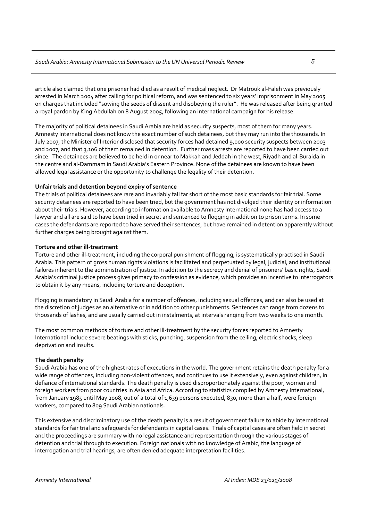article also claimed that one prisoner had died as a result of medical neglect. Dr Matrouk al‐Faleh was previously arrested in March 2004 after calling for political reform, and was sentenced to six years' imprisonment in May 2005 on charges that included "sowing the seeds of dissent and disobeying the ruler". He was released after being granted a royal pardon by King Abdullah on 8 August 2005, following an international campaign for his release.

The majority of political detainees in Saudi Arabia are held as security suspects, most of them for many years. Amnesty International does not know the exact number of such detainees, but they may run into the thousands. In July 2007, the Minister of Interior disclosed that security forces had detained 9,000 security suspects between 2003 and 2007, and that 3,106 of them remained in detention. Further mass arrests are reported to have been carried out since. The detainees are believed to be held in or near to Makkah and Jeddah in the west, Riyadh and al‐Buraida in the centre and al‐Dammam in Saudi Arabia's Eastern Province. None of the detainees are known to have been allowed legal assistance or the opportunity to challenge the legality of their detention.

### **Unfair trials and detention beyond expiry of sentence**

The trials of political detainees are rare and invariably fall far short of the most basic standards for fair trial. Some security detainees are reported to have been tried, but the government has not divulged their identity or information about their trials. However, according to information available to Amnesty International none has had access to a lawyer and all are said to have been tried in secret and sentenced to flogging in addition to prison terms. In some cases the defendants are reported to have served their sentences, but have remained in detention apparently without further charges being brought against them.

### **Torture and other ill‐treatment**

Torture and other ill‐treatment, including the corporal punishment of flogging, is systematically practised in Saudi Arabia. This pattern of gross human rights violations is facilitated and perpetuated by legal, judicial, and institutional failures inherent to the administration of justice. In addition to the secrecy and denial of prisoners' basic rights, Saudi Arabia's criminal justice process gives primacy to confession as evidence, which provides an incentive to interrogators to obtain it by any means, including torture and deception.

Flogging is mandatory in Saudi Arabia for a number of offences, including sexual offences, and can also be used at the discretion of judges as an alternative or in addition to other punishments. Sentences can range from dozens to thousands of lashes, and are usually carried out in instalments, at intervals ranging from two weeks to one month.

The most common methods of torture and other ill-treatment by the security forces reported to Amnesty International include severe beatings with sticks, punching, suspension from the ceiling, electric shocks, sleep deprivation and insults.

#### **The death penalty**

Saudi Arabia has one of the highest rates of executions in the world. The government retains the death penalty for a wide range of offences, including non-violent offences, and continues to use it extensively, even against children, in defiance of international standards. The death penalty is used disproportionately against the poor, women and foreign workers from poor countries in Asia and Africa. According to statistics compiled by Amnesty International, from January 1985 until May 2008, out of a total of 1,639 persons executed, 830, more than a half, were foreign workers, compared to 809 Saudi Arabian nationals.

This extensive and discriminatory use of the death penalty is a result of government failure to abide by international standards for fair trial and safeguards for defendants in capital cases. Trials of capital cases are often held in secret and the proceedings are summary with no legal assistance and representation through the various stages of detention and trial through to execution. Foreign nationals with no knowledge of Arabic, the language of interrogation and trial hearings, are often denied adequate interpretation facilities.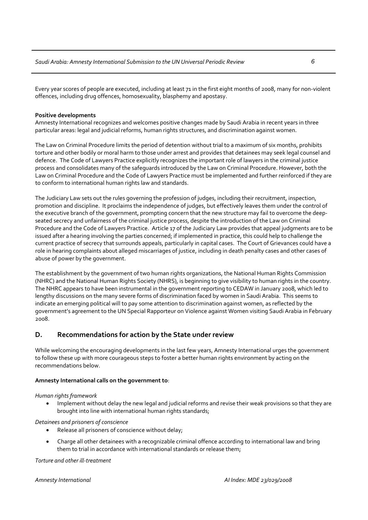Every year scores of people are executed, including at least 71 in the first eight months of 2008, many for non-violent offences, including drug offences, homosexuality, blasphemy and apostasy.

# **Positive developments**

Amnesty International recognizes and welcomes positive changes made by Saudi Arabia in recent years in three particular areas: legal and judicial reforms, human rights structures, and discrimination against women.

The Law on Criminal Procedure limits the period of detention without trial to a maximum of six months, prohibits torture and other bodily or moral harm to those under arrest and provides that detainees may seek legal counsel and defence. The Code of Lawyers Practice explicitly recognizes the important role of lawyers in the criminal justice process and consolidates many of the safeguards introduced by the Law on Criminal Procedure. However, both the Law on Criminal Procedure and the Code of Lawyers Practice must be implemented and further reinforced if they are to conform to international human rights law and standards.

The Judiciary Law sets out the rules governing the profession of judges, including their recruitment, inspection, promotion and discipline. It proclaims the independence of judges, but effectively leaves them under the control of the executive branch of the government, prompting concern that the new structure may fail to overcome the deep‐ seated secrecy and unfairness of the criminal justice process, despite the introduction of the Law on Criminal Procedure and the Code of Lawyers Practice. Article 17 of the Judiciary Law provides that appeal judgments are to be issued after a hearing involving the parties concerned; if implemented in practice, this could help to challenge the current practice of secrecy that surrounds appeals, particularly in capital cases. The Court of Grievances could have a role in hearing complaints about alleged miscarriages of justice, including in death penalty cases and other cases of abuse of power by the government.

The establishment by the government of two human rights organizations, the National Human Rights Commission (NHRC) and the National Human Rights Society (NHRS), is beginning to give visibility to human rights in the country. The NHRC appears to have been instrumental in the government reporting to CEDAW in January 2008, which led to lengthy discussions on the many severe forms of discrimination faced by women in Saudi Arabia. This seems to indicate an emerging political will to pay some attention to discrimination against women, as reflected by the government's agreement to the UN Special Rapporteur on Violence against Women visiting Saudi Arabia in February 2008.

# **D. Recommendations for action by the State under review**

While welcoming the encouraging developments in the last few years, Amnesty International urges the government to follow these up with more courageous steps to foster a better human rights environment by acting on the recommendations below.

# **Amnesty International calls on the government to**:

# *Human rights framework*

• Implement without delay the new legal and judicial reforms and revise their weak provisions so that they are brought into line with international human rights standards;

*Detainees and prisoners of conscience*

- Release all prisoners of conscience without delay;
- Charge all other detainees with a recognizable criminal offence according to international law and bring them to trial in accordance with international standards or release them;

*Torture and other ill‐treatment*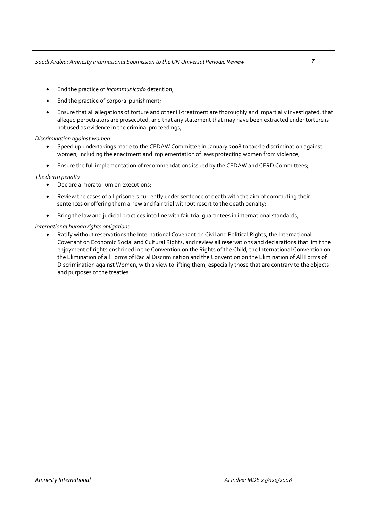- End the practice of *incommunicado* detention;
- End the practice of corporal punishment;
- Ensure that all allegations of torture and other ill‐treatment are thoroughly and impartially investigated, that alleged perpetrators are prosecuted, and that any statement that may have been extracted under torture is not used as evidence in the criminal proceedings;

# *Discrimination against women*

- Speed up undertakings made to the CEDAW Committee in January 2008 to tackle discrimination against women, including the enactment and implementation of laws protecting women from violence;
- Ensure the full implementation of recommendations issued by the CEDAW and CERD Committees;

### *The death penalty*

- Declare a moratorium on executions;
- Review the cases of all prisoners currently under sentence of death with the aim of commuting their sentences or offering them a new and fair trial without resort to the death penalty;
- Bring the law and judicial practices into line with fair trial guarantees in international standards;

### *International human rights obligations*

• Ratify without reservations the International Covenant on Civil and Political Rights, the International Covenant on Economic Social and Cultural Rights, and review all reservations and declarations that limit the enjoyment of rights enshrined in the Convention on the Rights of the Child, the International Convention on the Elimination of all Forms of Racial Discrimination and the Convention on the Elimination of All Forms of Discrimination against Women, with a view to lifting them, especially those that are contrary to the objects and purposes of the treaties.